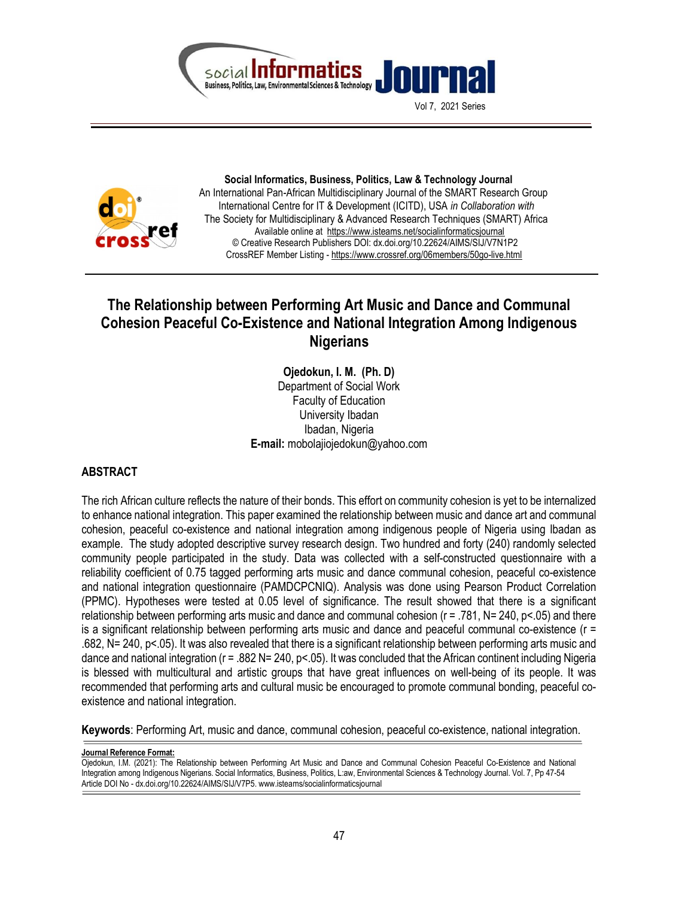

Vol 7, 2021 Series



 Social Informatics, Business, Politics, Law & Technology Journal An International Pan-African Multidisciplinary Journal of the SMART Research Group International Centre for IT & Development (ICITD), USA in Collaboration with The Society for Multidisciplinary & Advanced Research Techniques (SMART) Africa Available online at https://www.isteams.net/socialinformaticsjournal © Creative Research Publishers DOI: dx.doi.org/10.22624/AIMS/SIJ/V7N1P2 CrossREF Member Listing - https://www.crossref.org/06members/50go-live.html

# The Relationship between Performing Art Music and Dance and Communal Cohesion Peaceful Co-Existence and National Integration Among Indigenous **Nigerians**

Ojedokun, I. M. (Ph. D) Department of Social Work Faculty of Education University Ibadan Ibadan, Nigeria E-mail: mobolajiojedokun@yahoo.com

# ABSTRACT

The rich African culture reflects the nature of their bonds. This effort on community cohesion is yet to be internalized to enhance national integration. This paper examined the relationship between music and dance art and communal cohesion, peaceful co-existence and national integration among indigenous people of Nigeria using Ibadan as example. The study adopted descriptive survey research design. Two hundred and forty (240) randomly selected community people participated in the study. Data was collected with a self-constructed questionnaire with a reliability coefficient of 0.75 tagged performing arts music and dance communal cohesion, peaceful co-existence and national integration questionnaire (PAMDCPCNIQ). Analysis was done using Pearson Product Correlation (PPMC). Hypotheses were tested at 0.05 level of significance. The result showed that there is a significant relationship between performing arts music and dance and communal cohesion (r = .781, N= 240, p<.05) and there is a significant relationship between performing arts music and dance and peaceful communal co-existence (r = .682, N= 240, p<.05). It was also revealed that there is a significant relationship between performing arts music and dance and national integration (r = .882 N= 240, p < .05). It was concluded that the African continent including Nigeria is blessed with multicultural and artistic groups that have great influences on well-being of its people. It was recommended that performing arts and cultural music be encouraged to promote communal bonding, peaceful coexistence and national integration.

Keywords: Performing Art, music and dance, communal cohesion, peaceful co-existence, national integration.

Journal Reference Format:

Ojedokun, I.M. (2021): The Relationship between Performing Art Music and Dance and Communal Cohesion Peaceful Co-Existence and National Integration among Indigenous Nigerians. Social Informatics, Business, Politics, L:aw, Environmental Sciences & Technology Journal. Vol. 7, Pp 47-54 Article DOI No - dx.doi.org/10.22624/AIMS/SIJ/V7P5. www.isteams/socialinformaticsjournal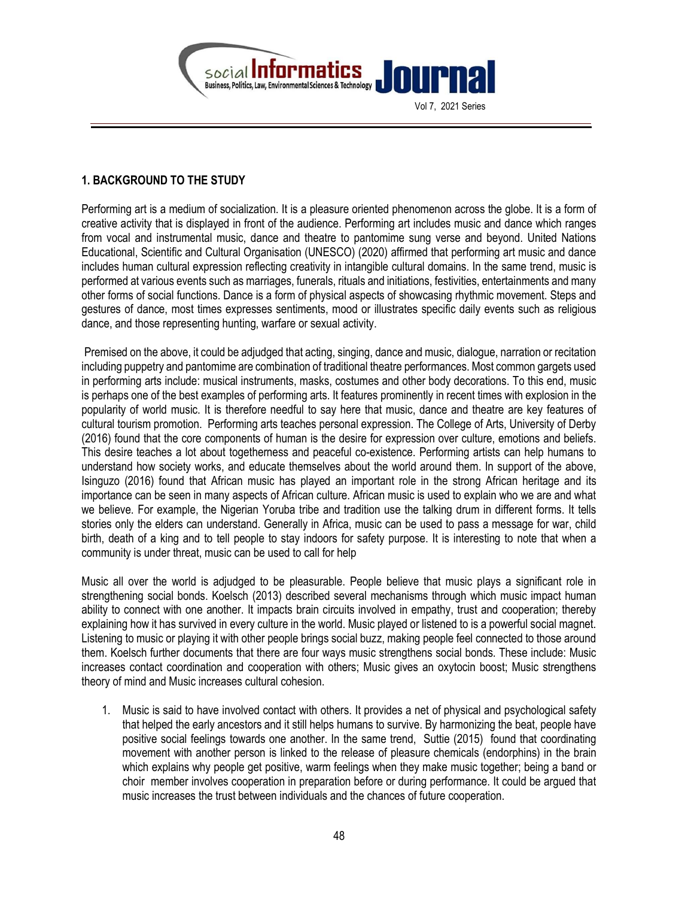

# 1. BACKGROUND TO THE STUDY

Performing art is a medium of socialization. It is a pleasure oriented phenomenon across the globe. It is a form of creative activity that is displayed in front of the audience. Performing art includes music and dance which ranges from vocal and instrumental music, dance and theatre to pantomime sung verse and beyond. United Nations Educational, Scientific and Cultural Organisation (UNESCO) (2020) affirmed that performing art music and dance includes human cultural expression reflecting creativity in intangible cultural domains. In the same trend, music is performed at various events such as marriages, funerals, rituals and initiations, festivities, entertainments and many other forms of social functions. Dance is a form of physical aspects of showcasing rhythmic movement. Steps and gestures of dance, most times expresses sentiments, mood or illustrates specific daily events such as religious dance, and those representing hunting, warfare or sexual activity.

 Premised on the above, it could be adjudged that acting, singing, dance and music, dialogue, narration or recitation including puppetry and pantomime are combination of traditional theatre performances. Most common gargets used in performing arts include: musical instruments, masks, costumes and other body decorations. To this end, music is perhaps one of the best examples of performing arts. It features prominently in recent times with explosion in the popularity of world music. It is therefore needful to say here that music, dance and theatre are key features of cultural tourism promotion. Performing arts teaches personal expression. The College of Arts, University of Derby (2016) found that the core components of human is the desire for expression over culture, emotions and beliefs. This desire teaches a lot about togetherness and peaceful co-existence. Performing artists can help humans to understand how society works, and educate themselves about the world around them. In support of the above, Isinguzo (2016) found that African music has played an important role in the strong African heritage and its importance can be seen in many aspects of African culture. African music is used to explain who we are and what we believe. For example, the Nigerian Yoruba tribe and tradition use the talking drum in different forms. It tells stories only the elders can understand. Generally in Africa, music can be used to pass a message for war, child birth, death of a king and to tell people to stay indoors for safety purpose. It is interesting to note that when a community is under threat, music can be used to call for help

Music all over the world is adjudged to be pleasurable. People believe that music plays a significant role in strengthening social bonds. Koelsch (2013) described several mechanisms through which music impact human ability to connect with one another. It impacts brain circuits involved in empathy, trust and cooperation; thereby explaining how it has survived in every culture in the world. Music played or listened to is a powerful social magnet. Listening to music or playing it with other people brings social buzz, making people feel connected to those around them. Koelsch further documents that there are four ways music strengthens social bonds. These include: Music increases contact coordination and cooperation with others; Music gives an oxytocin boost; Music strengthens theory of mind and Music increases cultural cohesion.

1. Music is said to have involved contact with others. It provides a net of physical and psychological safety that helped the early ancestors and it still helps humans to survive. By harmonizing the beat, people have positive social feelings towards one another. In the same trend, Suttie (2015) found that coordinating movement with another person is linked to the release of pleasure chemicals (endorphins) in the brain which explains why people get positive, warm feelings when they make music together; being a band or choir member involves cooperation in preparation before or during performance. It could be argued that music increases the trust between individuals and the chances of future cooperation.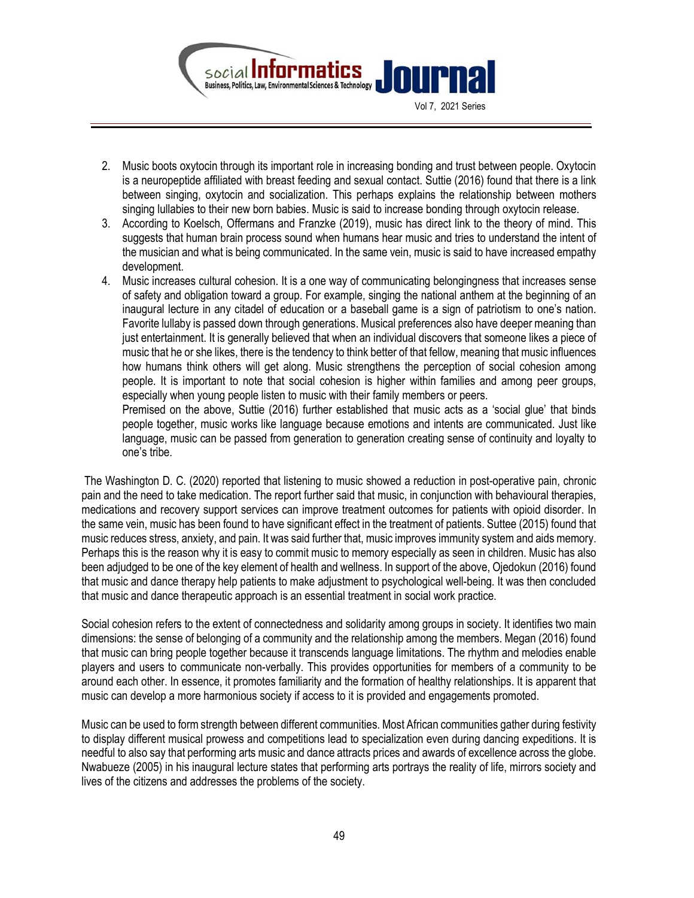

- 2. Music boots oxytocin through its important role in increasing bonding and trust between people. Oxytocin is a neuropeptide affiliated with breast feeding and sexual contact. Suttie (2016) found that there is a link between singing, oxytocin and socialization. This perhaps explains the relationship between mothers singing lullabies to their new born babies. Music is said to increase bonding through oxytocin release.
- 3. According to Koelsch, Offermans and Franzke (2019), music has direct link to the theory of mind. This suggests that human brain process sound when humans hear music and tries to understand the intent of the musician and what is being communicated. In the same vein, music is said to have increased empathy development.
- 4. Music increases cultural cohesion. It is a one way of communicating belongingness that increases sense of safety and obligation toward a group. For example, singing the national anthem at the beginning of an inaugural lecture in any citadel of education or a baseball game is a sign of patriotism to one's nation. Favorite lullaby is passed down through generations. Musical preferences also have deeper meaning than just entertainment. It is generally believed that when an individual discovers that someone likes a piece of music that he or she likes, there is the tendency to think better of that fellow, meaning that music influences how humans think others will get along. Music strengthens the perception of social cohesion among people. It is important to note that social cohesion is higher within families and among peer groups, especially when young people listen to music with their family members or peers.

Premised on the above, Suttie (2016) further established that music acts as a 'social glue' that binds people together, music works like language because emotions and intents are communicated. Just like language, music can be passed from generation to generation creating sense of continuity and loyalty to one's tribe.

 The Washington D. C. (2020) reported that listening to music showed a reduction in post-operative pain, chronic pain and the need to take medication. The report further said that music, in conjunction with behavioural therapies, medications and recovery support services can improve treatment outcomes for patients with opioid disorder. In the same vein, music has been found to have significant effect in the treatment of patients. Suttee (2015) found that music reduces stress, anxiety, and pain. It was said further that, music improves immunity system and aids memory. Perhaps this is the reason why it is easy to commit music to memory especially as seen in children. Music has also been adjudged to be one of the key element of health and wellness. In support of the above, Ojedokun (2016) found that music and dance therapy help patients to make adjustment to psychological well-being. It was then concluded that music and dance therapeutic approach is an essential treatment in social work practice.

Social cohesion refers to the extent of connectedness and solidarity among groups in society. It identifies two main dimensions: the sense of belonging of a community and the relationship among the members. Megan (2016) found that music can bring people together because it transcends language limitations. The rhythm and melodies enable players and users to communicate non-verbally. This provides opportunities for members of a community to be around each other. In essence, it promotes familiarity and the formation of healthy relationships. It is apparent that music can develop a more harmonious society if access to it is provided and engagements promoted.

Music can be used to form strength between different communities. Most African communities gather during festivity to display different musical prowess and competitions lead to specialization even during dancing expeditions. It is needful to also say that performing arts music and dance attracts prices and awards of excellence across the globe. Nwabueze (2005) in his inaugural lecture states that performing arts portrays the reality of life, mirrors society and lives of the citizens and addresses the problems of the society.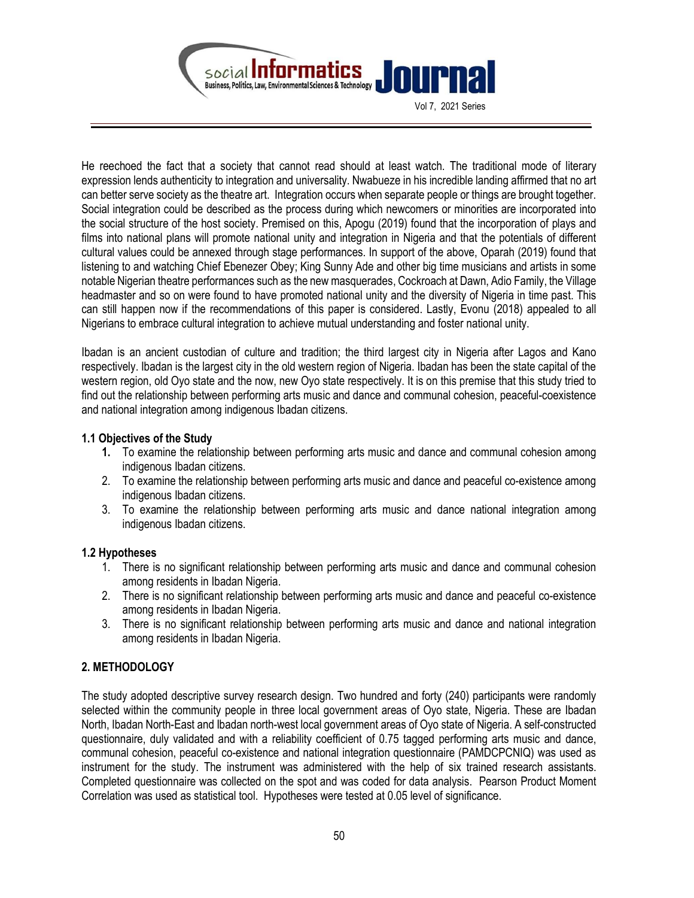

Vol 7, 2021 Series

He reechoed the fact that a society that cannot read should at least watch. The traditional mode of literary expression lends authenticity to integration and universality. Nwabueze in his incredible landing affirmed that no art can better serve society as the theatre art. Integration occurs when separate people or things are brought together. Social integration could be described as the process during which newcomers or minorities are incorporated into the social structure of the host society. Premised on this, Apogu (2019) found that the incorporation of plays and films into national plans will promote national unity and integration in Nigeria and that the potentials of different cultural values could be annexed through stage performances. In support of the above, Oparah (2019) found that listening to and watching Chief Ebenezer Obey; King Sunny Ade and other big time musicians and artists in some notable Nigerian theatre performances such as the new masquerades, Cockroach at Dawn, Adio Family, the Village headmaster and so on were found to have promoted national unity and the diversity of Nigeria in time past. This can still happen now if the recommendations of this paper is considered. Lastly, Evonu (2018) appealed to all Nigerians to embrace cultural integration to achieve mutual understanding and foster national unity.

Ibadan is an ancient custodian of culture and tradition; the third largest city in Nigeria after Lagos and Kano respectively. Ibadan is the largest city in the old western region of Nigeria. Ibadan has been the state capital of the western region, old Oyo state and the now, new Oyo state respectively. It is on this premise that this study tried to find out the relationship between performing arts music and dance and communal cohesion, peaceful-coexistence and national integration among indigenous Ibadan citizens.

### 1.1 Objectives of the Study

- 1. To examine the relationship between performing arts music and dance and communal cohesion among indigenous Ibadan citizens.
- 2. To examine the relationship between performing arts music and dance and peaceful co-existence among indigenous Ibadan citizens.
- 3. To examine the relationship between performing arts music and dance national integration among indigenous Ibadan citizens.

### 1.2 Hypotheses

- 1. There is no significant relationship between performing arts music and dance and communal cohesion among residents in Ibadan Nigeria.
- 2. There is no significant relationship between performing arts music and dance and peaceful co-existence among residents in Ibadan Nigeria.
- 3. There is no significant relationship between performing arts music and dance and national integration among residents in Ibadan Nigeria.

# 2. METHODOLOGY

The study adopted descriptive survey research design. Two hundred and forty (240) participants were randomly selected within the community people in three local government areas of Oyo state, Nigeria. These are Ibadan North, Ibadan North-East and Ibadan north-west local government areas of Oyo state of Nigeria. A self-constructed questionnaire, duly validated and with a reliability coefficient of 0.75 tagged performing arts music and dance, communal cohesion, peaceful co-existence and national integration questionnaire (PAMDCPCNIQ) was used as instrument for the study. The instrument was administered with the help of six trained research assistants. Completed questionnaire was collected on the spot and was coded for data analysis. Pearson Product Moment Correlation was used as statistical tool. Hypotheses were tested at 0.05 level of significance.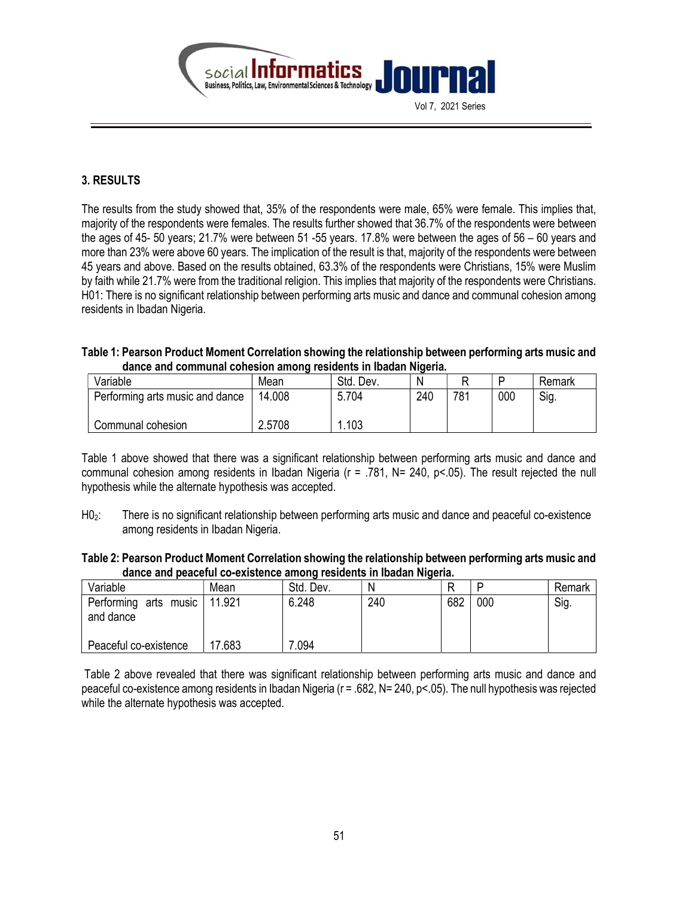

# 3. RESULTS

The results from the study showed that, 35% of the respondents were male, 65% were female. This implies that, majority of the respondents were females. The results further showed that 36.7% of the respondents were between the ages of 45- 50 years; 21.7% were between 51 -55 years. 17.8% were between the ages of 56 – 60 years and more than 23% were above 60 years. The implication of the result is that, majority of the respondents were between 45 years and above. Based on the results obtained, 63.3% of the respondents were Christians, 15% were Muslim by faith while 21.7% were from the traditional religion. This implies that majority of the respondents were Christians. H01: There is no significant relationship between performing arts music and dance and communal cohesion among residents in Ibadan Nigeria.

| Table 1: Pearson Product Moment Correlation showing the relationship between performing arts music and |  |
|--------------------------------------------------------------------------------------------------------|--|
| dance and communal cohesion among residents in Ibadan Nigeria.                                         |  |

| Variable                        | Mean   | Std. Dev. | Ν   |     | D   | Remark |
|---------------------------------|--------|-----------|-----|-----|-----|--------|
| Performing arts music and dance | 14.008 | 5.704     | 240 | 781 | 000 | Sig.   |
| Communal cohesion               | 2.5708 | l.103     |     |     |     |        |

Table 1 above showed that there was a significant relationship between performing arts music and dance and communal cohesion among residents in Ibadan Nigeria (r = .781, N= 240, p<.05). The result rejected the null hypothesis while the alternate hypothesis was accepted.

H0<sub>2</sub>: There is no significant relationship between performing arts music and dance and peaceful co-existence among residents in Ibadan Nigeria.

| Table 2: Pearson Product Moment Correlation showing the relationship between performing arts music and |
|--------------------------------------------------------------------------------------------------------|
| dance and peaceful co-existence among residents in Ibadan Nigeria.                                     |

| Variable                           | Mean   | Std. Dev. | N   |     |     | Remark |
|------------------------------------|--------|-----------|-----|-----|-----|--------|
| Performing arts music<br>and dance | 11.921 | 6.248     | 240 | 682 | 000 | Sig.   |
| Peaceful co-existence              | 17.683 | .094      |     |     |     |        |

 Table 2 above revealed that there was significant relationship between performing arts music and dance and peaceful co-existence among residents in Ibadan Nigeria (r = .682, N= 240, p<.05). The null hypothesis was rejected while the alternate hypothesis was accepted.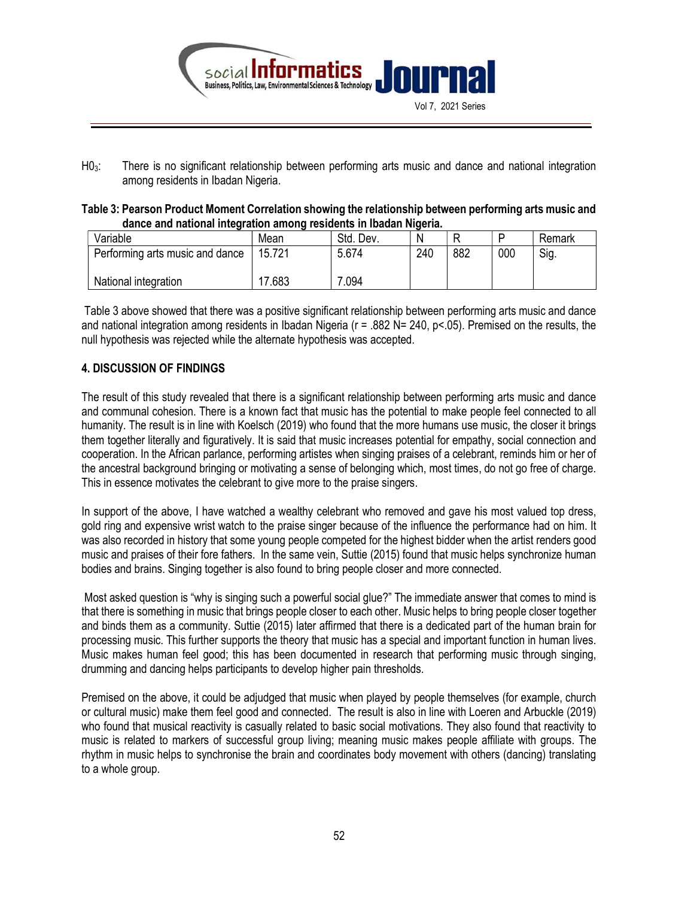

H03: There is no significant relationship between performing arts music and dance and national integration among residents in Ibadan Nigeria.

| Table 3: Pearson Product Moment Correlation showing the relationship between performing arts music and |
|--------------------------------------------------------------------------------------------------------|
| dance and national integration among residents in Ibadan Nigeria.                                      |

| .                               |        |           |     |     |     |        |  |
|---------------------------------|--------|-----------|-----|-----|-----|--------|--|
| Variable                        | Mean   | Std. Dev. |     |     |     | Remark |  |
| Performing arts music and dance | 15.721 | 5.674     | 240 | 882 | 000 | Sig.   |  |
| National integration            | .683   | .094      |     |     |     |        |  |

 Table 3 above showed that there was a positive significant relationship between performing arts music and dance and national integration among residents in Ibadan Nigeria (r = .882 N= 240, p<.05). Premised on the results, the null hypothesis was rejected while the alternate hypothesis was accepted.

# 4. DISCUSSION OF FINDINGS

The result of this study revealed that there is a significant relationship between performing arts music and dance and communal cohesion. There is a known fact that music has the potential to make people feel connected to all humanity. The result is in line with Koelsch (2019) who found that the more humans use music, the closer it brings them together literally and figuratively. It is said that music increases potential for empathy, social connection and cooperation. In the African parlance, performing artistes when singing praises of a celebrant, reminds him or her of the ancestral background bringing or motivating a sense of belonging which, most times, do not go free of charge. This in essence motivates the celebrant to give more to the praise singers.

In support of the above, I have watched a wealthy celebrant who removed and gave his most valued top dress, gold ring and expensive wrist watch to the praise singer because of the influence the performance had on him. It was also recorded in history that some young people competed for the highest bidder when the artist renders good music and praises of their fore fathers. In the same vein, Suttie (2015) found that music helps synchronize human bodies and brains. Singing together is also found to bring people closer and more connected.

 Most asked question is "why is singing such a powerful social glue?" The immediate answer that comes to mind is that there is something in music that brings people closer to each other. Music helps to bring people closer together and binds them as a community. Suttie (2015) later affirmed that there is a dedicated part of the human brain for processing music. This further supports the theory that music has a special and important function in human lives. Music makes human feel good; this has been documented in research that performing music through singing, drumming and dancing helps participants to develop higher pain thresholds.

Premised on the above, it could be adjudged that music when played by people themselves (for example, church or cultural music) make them feel good and connected. The result is also in line with Loeren and Arbuckle (2019) who found that musical reactivity is casually related to basic social motivations. They also found that reactivity to music is related to markers of successful group living; meaning music makes people affiliate with groups. The rhythm in music helps to synchronise the brain and coordinates body movement with others (dancing) translating to a whole group.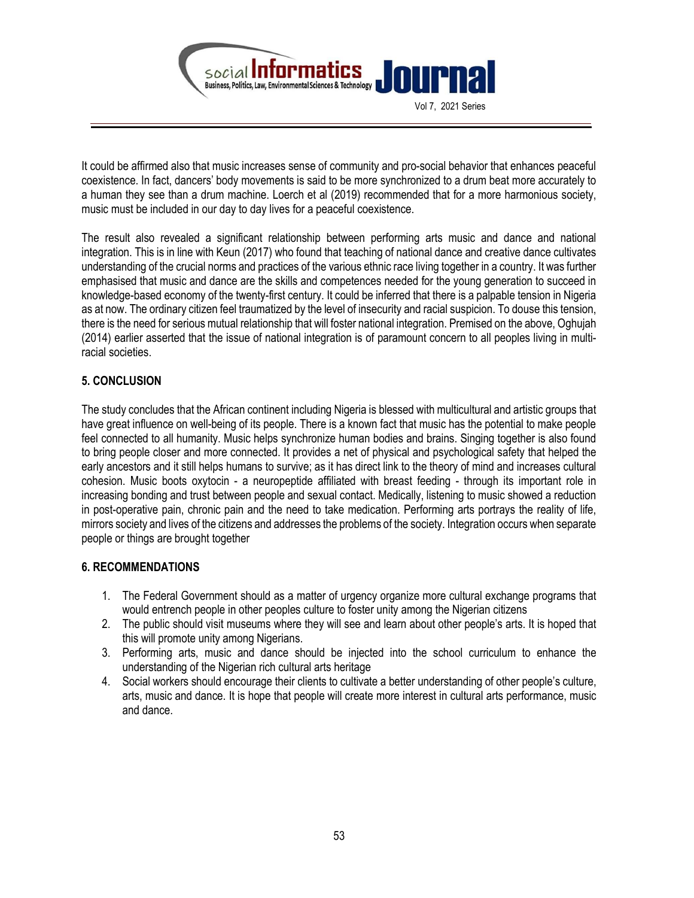

It could be affirmed also that music increases sense of community and pro-social behavior that enhances peaceful coexistence. In fact, dancers' body movements is said to be more synchronized to a drum beat more accurately to a human they see than a drum machine. Loerch et al (2019) recommended that for a more harmonious society, music must be included in our day to day lives for a peaceful coexistence.

The result also revealed a significant relationship between performing arts music and dance and national integration. This is in line with Keun (2017) who found that teaching of national dance and creative dance cultivates understanding of the crucial norms and practices of the various ethnic race living together in a country. It was further emphasised that music and dance are the skills and competences needed for the young generation to succeed in knowledge-based economy of the twenty-first century. It could be inferred that there is a palpable tension in Nigeria as at now. The ordinary citizen feel traumatized by the level of insecurity and racial suspicion. To douse this tension, there is the need for serious mutual relationship that will foster national integration. Premised on the above, Oghujah (2014) earlier asserted that the issue of national integration is of paramount concern to all peoples living in multiracial societies.

# 5. CONCLUSION

The study concludes that the African continent including Nigeria is blessed with multicultural and artistic groups that have great influence on well-being of its people. There is a known fact that music has the potential to make people feel connected to all humanity. Music helps synchronize human bodies and brains. Singing together is also found to bring people closer and more connected. It provides a net of physical and psychological safety that helped the early ancestors and it still helps humans to survive; as it has direct link to the theory of mind and increases cultural cohesion. Music boots oxytocin - a neuropeptide affiliated with breast feeding - through its important role in increasing bonding and trust between people and sexual contact. Medically, listening to music showed a reduction in post-operative pain, chronic pain and the need to take medication. Performing arts portrays the reality of life, mirrors society and lives of the citizens and addresses the problems of the society. Integration occurs when separate people or things are brought together

# 6. RECOMMENDATIONS

- 1. The Federal Government should as a matter of urgency organize more cultural exchange programs that would entrench people in other peoples culture to foster unity among the Nigerian citizens
- 2. The public should visit museums where they will see and learn about other people's arts. It is hoped that this will promote unity among Nigerians.
- 3. Performing arts, music and dance should be injected into the school curriculum to enhance the understanding of the Nigerian rich cultural arts heritage
- 4. Social workers should encourage their clients to cultivate a better understanding of other people's culture, arts, music and dance. It is hope that people will create more interest in cultural arts performance, music and dance.